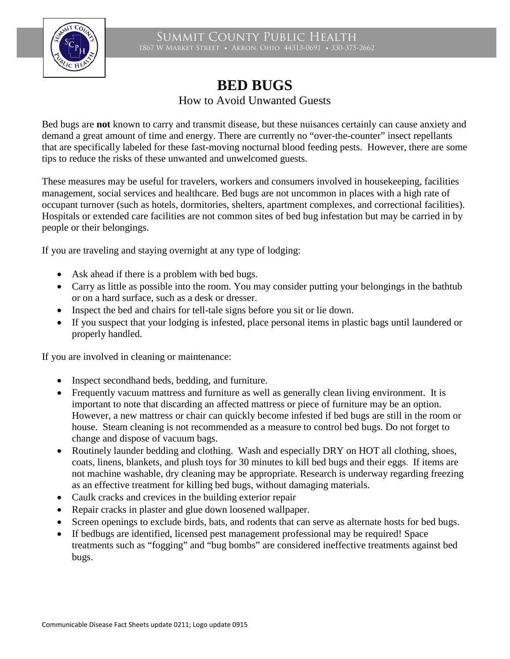

Summit County Public Health 1867 W Market Street • Akron, Ohio 44313-0691 • 330-375-2662

## **BED BUGS** How to Avoid Unwanted Guests

Bed bugs are **not** known to carry and transmit disease, but these nuisances certainly can cause anxiety and demand a great amount of time and energy. There are currently no "over-the-counter" insect repellants that are specifically labeled for these fast-moving nocturnal blood feeding pests. However, there are some tips to reduce the risks of these unwanted and unwelcomed guests.

These measures may be useful for travelers, workers and consumers involved in housekeeping, facilities management, social services and healthcare. Bed bugs are not uncommon in places with a high rate of occupant turnover (such as hotels, dormitories, shelters, apartment complexes, and correctional facilities). Hospitals or extended care facilities are not common sites of bed bug infestation but may be carried in by people or their belongings.

If you are traveling and staying overnight at any type of lodging:

- Ask ahead if there is a problem with bed bugs.
- Carry as little as possible into the room. You may consider putting your belongings in the bathtub or on a hard surface, such as a desk or dresser.
- Inspect the bed and chairs for tell-tale signs before you sit or lie down.
- If you suspect that your lodging is infested, place personal items in plastic bags until laundered or properly handled.

If you are involved in cleaning or maintenance:

- Inspect secondhand beds, bedding, and furniture.
- Frequently vacuum mattress and furniture as well as generally clean living environment. It is important to note that discarding an affected mattress or piece of furniture may be an option. However, a new mattress or chair can quickly become infested if bed bugs are still in the room or house. Steam cleaning is not recommended as a measure to control bed bugs. Do not forget to change and dispose of vacuum bags.
- Routinely launder bedding and clothing. Wash and especially DRY on HOT all clothing, shoes, coats, linens, blankets, and plush toys for 30 minutes to kill bed bugs and their eggs. If items are not machine washable, dry cleaning may be appropriate. Research is underway regarding freezing as an effective treatment for killing bed bugs, without damaging materials.
- Caulk cracks and crevices in the building exterior repair
- Repair cracks in plaster and glue down loosened wallpaper.
- Screen openings to exclude birds, bats, and rodents that can serve as alternate hosts for bed bugs.
- If bedbugs are identified, licensed pest management professional may be required! Space treatments such as "fogging" and "bug bombs" are considered ineffective treatments against bed bugs.